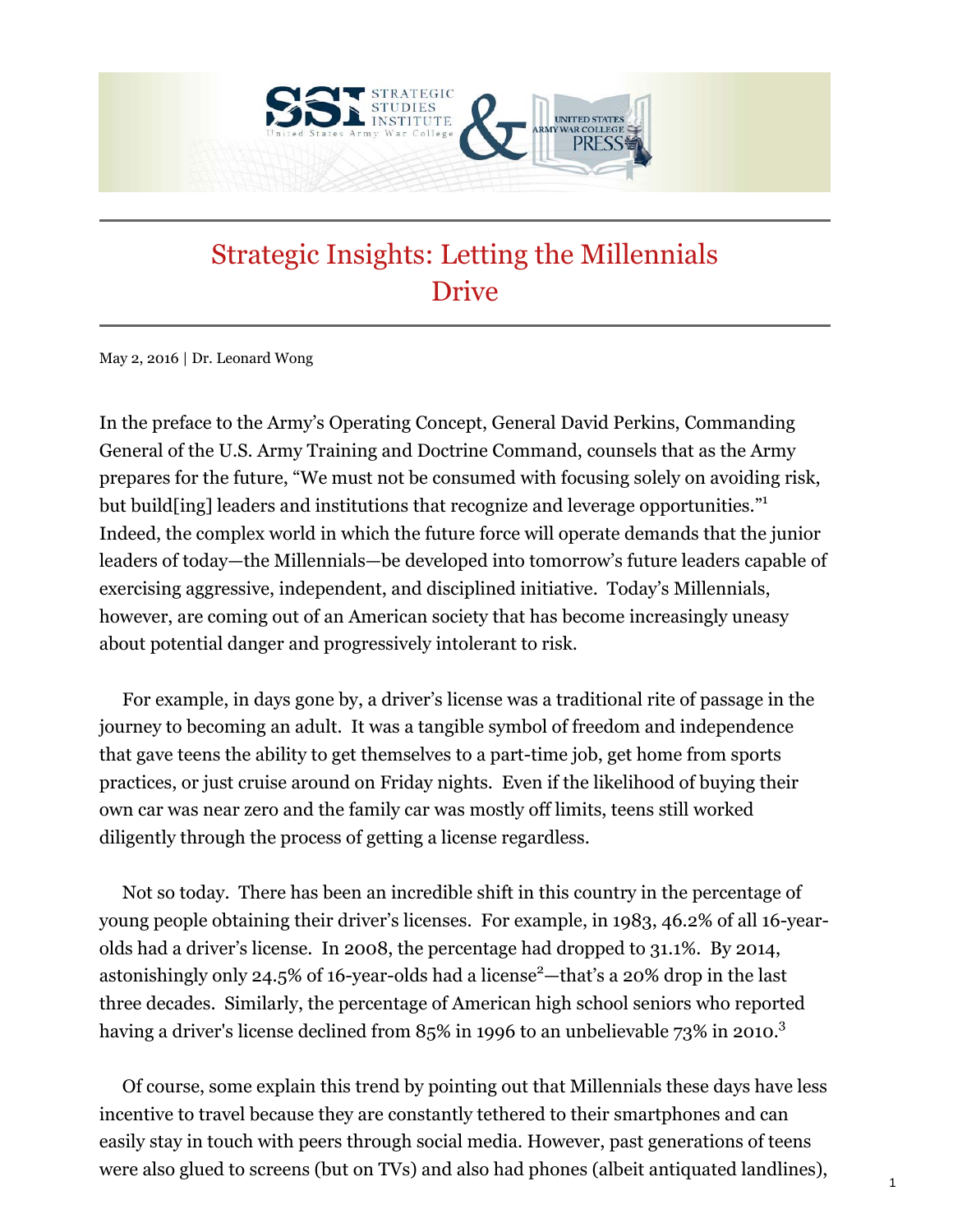

## Strategic Insights: Letting the Millennials Drive

May 2, 2016 | Dr. Leonard Wong

In the preface to the Army's Operating Concept, General David Perkins, Commanding General of the U.S. Army Training and Doctrine Command, counsels that as the Army prepares for the future, "We must not be consumed with focusing solely on avoiding risk, but build[ing] leaders and institutions that recognize and leverage opportunities."<sup>1</sup> Indeed, the complex world in which the future force will operate demands that the junior leaders of today—the Millennials—be developed into tomorrow's future leaders capable of exercising aggressive, independent, and disciplined initiative. Today's Millennials, however, are coming out of an American society that has become increasingly uneasy about potential danger and progressively intolerant to risk.

For example, in days gone by, a driver's license was a traditional rite of passage in the journey to becoming an adult. It was a tangible symbol of freedom and independence that gave teens the ability to get themselves to a part-time job, get home from sports practices, or just cruise around on Friday nights. Even if the likelihood of buying their own car was near zero and the family car was mostly off limits, teens still worked diligently through the process of getting a license regardless.

 olds had a driver's license. In 2008, the percentage had dropped to 31.1%. By 2014, Not so today. There has been an incredible shift in this country in the percentage of young people obtaining their driver's licenses. For example, in 1983, 46.2% of all 16-yearastonishingly only 24.5% of 16-year-olds had a license<sup>2</sup>—that's a 20% drop in the last three decades. Similarly, the percentage of American high school seniors who reported having a driver's license declined from 85% in 1996 to an unbelievable 73% in 2010.<sup>3</sup>

Of course, some explain this trend by pointing out that Millennials these days have less incentive to travel because they are constantly tethered to their smartphones and can easily stay in touch with peers through social media. However, past generations of teens were also glued to screens (but on TVs) and also had phones (albeit antiquated landlines),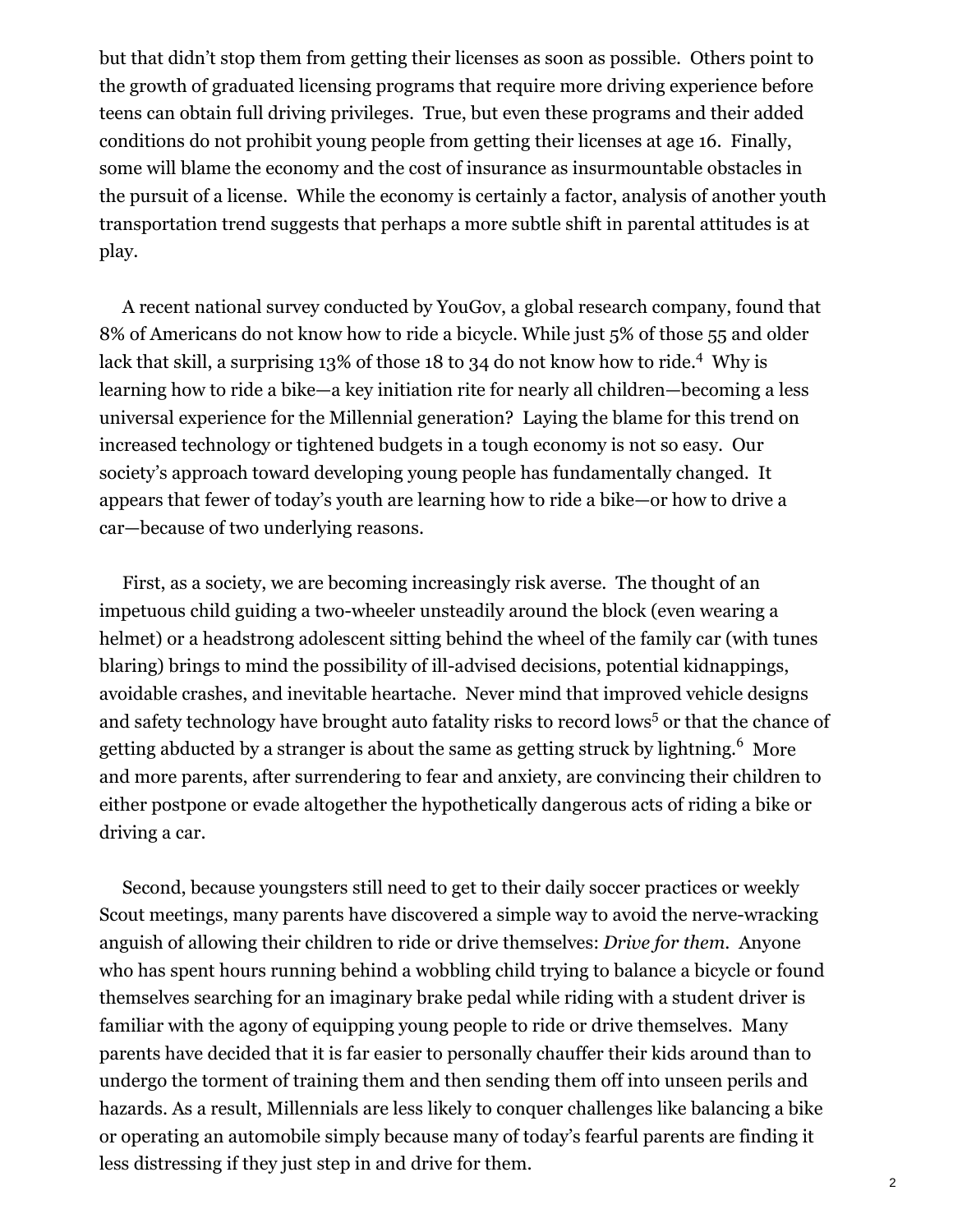but that didn't stop them from getting their licenses as soon as possible. Others point to the growth of graduated licensing programs that require more driving experience before teens can obtain full driving privileges. True, but even these programs and their added conditions do not prohibit young people from getting their licenses at age 16. Finally, some will blame the economy and the cost of insurance as insurmountable obstacles in the pursuit of a license. While the economy is certainly a factor, analysis of another youth transportation trend suggests that perhaps a more subtle shift in parental attitudes is at play.

A recent national survey conducted by YouGov, a global research company, found that 8% of Americans do not know how to ride a bicycle. While just 5% of those 55 and older lack that skill, a surprising  $13\%$  of those 18 to 34 do not know how to ride.<sup>4</sup> Why is learning how to ride a bike—a key initiation rite for nearly all children—becoming a less universal experience for the Millennial generation? Laying the blame for this trend on increased technology or tightened budgets in a tough economy is not so easy. Our society's approach toward developing young people has fundamentally changed. It appears that fewer of today's youth are learning how to ride a bike—or how to drive a car—because of two underlying reasons.

First, as a society, we are becoming increasingly risk averse. The thought of an impetuous child guiding a two-wheeler unsteadily around the block (even wearing a helmet) or a headstrong adolescent sitting behind the wheel of the family car (with tunes blaring) brings to mind the possibility of ill-advised decisions, potential kidnappings, avoidable crashes, and inevitable heartache. Never mind that improved vehicle designs and safety technology have brought auto fatality risks to record lows<sup>5</sup> or that the chance of getting abducted by a stranger is about the same as getting struck by lightning.<sup>6</sup> More and more parents, after surrendering to fear and anxiety, are convincing their children to either postpone or evade altogether the hypothetically dangerous acts of riding a bike or driving a car.

Second, because youngsters still need to get to their daily soccer practices or weekly Scout meetings, many parents have discovered a simple way to avoid the nerve-wracking anguish of allowing their children to ride or drive themselves: *Drive for them*. Anyone who has spent hours running behind a wobbling child trying to balance a bicycle or found themselves searching for an imaginary brake pedal while riding with a student driver is familiar with the agony of equipping young people to ride or drive themselves. Many parents have decided that it is far easier to personally chauffer their kids around than to undergo the torment of training them and then sending them off into unseen perils and hazards. As a result, Millennials are less likely to conquer challenges like balancing a bike or operating an automobile simply because many of today's fearful parents are finding it less distressing if they just step in and drive for them.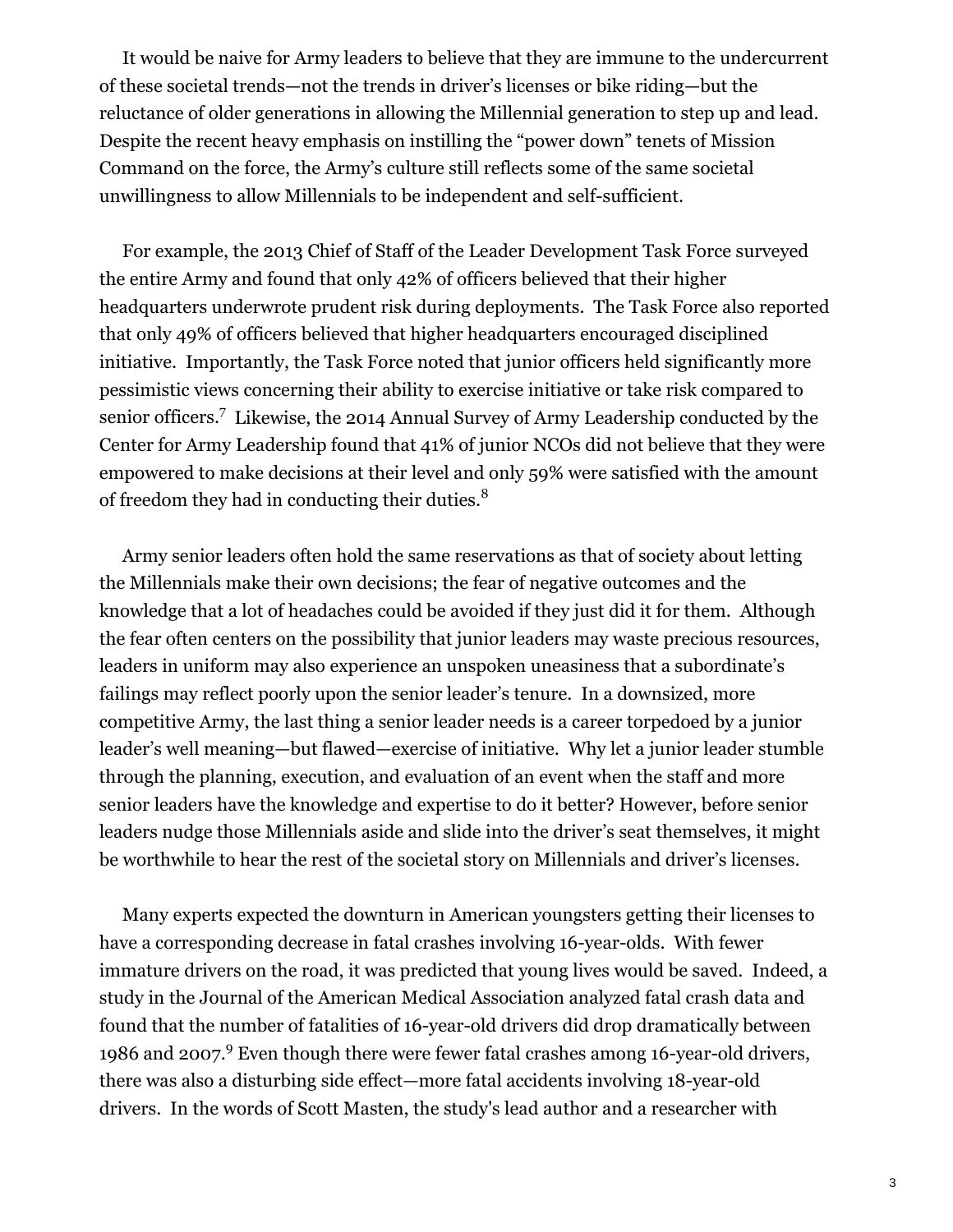It would be naive for Army leaders to believe that they are immune to the undercurrent of these societal trends—not the trends in driver's licenses or bike riding—but the reluctance of older generations in allowing the Millennial generation to step up and lead. Despite the recent heavy emphasis on instilling the "power down" tenets of Mission Command on the force, the Army's culture still reflects some of the same societal unwillingness to allow Millennials to be independent and self-sufficient.

For example, the 2013 Chief of Staff of the Leader Development Task Force surveyed the entire Army and found that only 42% of officers believed that their higher headquarters underwrote prudent risk during deployments. The Task Force also reported that only 49% of officers believed that higher headquarters encouraged disciplined initiative. Importantly, the Task Force noted that junior officers held significantly more pessimistic views concerning their ability to exercise initiative or take risk compared to senior officers.<sup>7</sup> Likewise, the 2014 Annual Survey of Army Leadership conducted by the Center for Army Leadership found that 41% of junior NCOs did not believe that they were empowered to make decisions at their level and only 59% were satisfied with the amount of freedom they had in conducting their duties.<sup>8</sup>

Army senior leaders often hold the same reservations as that of society about letting the Millennials make their own decisions; the fear of negative outcomes and the knowledge that a lot of headaches could be avoided if they just did it for them. Although the fear often centers on the possibility that junior leaders may waste precious resources, leaders in uniform may also experience an unspoken uneasiness that a subordinate's failings may reflect poorly upon the senior leader's tenure. In a downsized, more competitive Army, the last thing a senior leader needs is a career torpedoed by a junior leader's well meaning—but flawed—exercise of initiative. Why let a junior leader stumble through the planning, execution, and evaluation of an event when the staff and more senior leaders have the knowledge and expertise to do it better? However, before senior leaders nudge those Millennials aside and slide into the driver's seat themselves, it might be worthwhile to hear the rest of the societal story on Millennials and driver's licenses.

Many experts expected the downturn in American youngsters getting their licenses to have a corresponding decrease in fatal crashes involving 16-year-olds. With fewer immature drivers on the road, it was predicted that young lives would be saved. Indeed, a study in the Journal of the American Medical Association analyzed fatal crash data and found that the number of fatalities of 16-year-old drivers did drop dramatically between 1986 and 2007.<sup>9</sup> Even though there were fewer fatal crashes among 16-year-old drivers, there was also a disturbing side effect—more fatal accidents involving 18-year-old drivers. In the words of Scott Masten, the study's lead author and a researcher with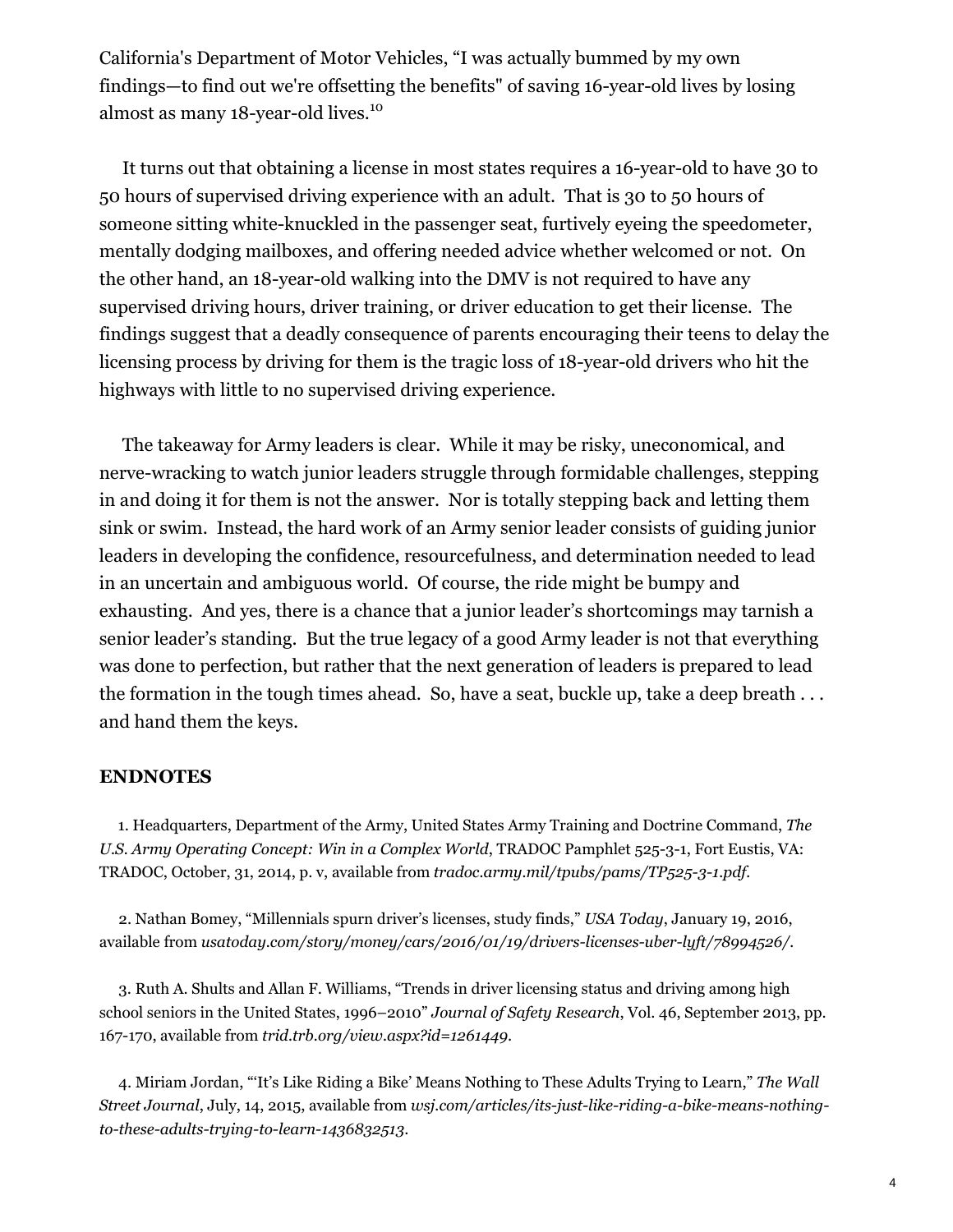California's Department of Motor Vehicles, "I was actually bummed by my own findings—to find out we're offsetting the benefits" of saving 16-year-old lives by losing almost as many 18-year-old lives.<sup>10</sup>

It turns out that obtaining a license in most states requires a 16-year-old to have 30 to 50 hours of supervised driving experience with an adult. That is 30 to 50 hours of someone sitting white-knuckled in the passenger seat, furtively eyeing the speedometer, mentally dodging mailboxes, and offering needed advice whether welcomed or not. On the other hand, an 18-year-old walking into the DMV is not required to have any supervised driving hours, driver training, or driver education to get their license. The findings suggest that a deadly consequence of parents encouraging their teens to delay the licensing process by driving for them is the tragic loss of 18-year-old drivers who hit the highways with little to no supervised driving experience.

 in an uncertain and ambiguous world. Of course, the ride might be bumpy and The takeaway for Army leaders is clear. While it may be risky, uneconomical, and nerve-wracking to watch junior leaders struggle through formidable challenges, stepping in and doing it for them is not the answer. Nor is totally stepping back and letting them sink or swim. Instead, the hard work of an Army senior leader consists of guiding junior leaders in developing the confidence, resourcefulness, and determination needed to lead exhausting. And yes, there is a chance that a junior leader's shortcomings may tarnish a senior leader's standing. But the true legacy of a good Army leader is not that everything was done to perfection, but rather that the next generation of leaders is prepared to lead the formation in the tough times ahead. So, have a seat, buckle up, take a deep breath . . . and hand them the keys.

## **ENDNOTES**

1. Headquarters, Department of the Army, United States Army Training and Doctrine Command, *The U.S. Army Operating Concept: Win in a Complex World*, TRADOC Pamphlet 525-3-1, Fort Eustis, VA: TRADOC, October, 31, 2014, p. v, available from *tradoc.army.mil/tpubs/pams/TP525-3-1.pdf.* 

2. Nathan Bomey, "Millennials spurn driver's licenses, study finds," *USA Today*, January 19, 2016, available from *usatoday.com/story/money/cars/2016/01/19/drivers-licenses-uber-lyft/78994526/.* 

 3. Ruth A. Shults and Allan F. Williams, "Trends in driver licensing status and driving among high school seniors in the United States, 1996–2010" *Journal of Safety Research*, Vol. 46, September 2013, pp. 167-170, available from *trid.trb.org/view.aspx?id=1261449*.

 4. Miriam Jordan, "'It's Like Riding a Bike' Means Nothing to These Adults Trying to Learn," *The Wall Street Journal*, July, 14, 2015, available from *wsj.com/articles/its-just-like-riding-a-bike-means-nothingto-these-adults-trying-to-learn-1436832513*.